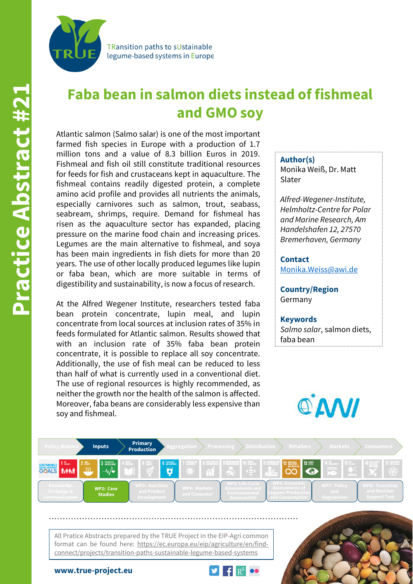

**Faba bean in salmon diets instead of fishmeal and GMO soy**

Atlantic salmon (Salmo salar) is one of the most important farmed fish species in Europe with a production of 1.7 million tons and a value of 8.3 billion Euros in 2019. Fishmeal and fish oil still constitute traditional resources for feeds for fish and crustaceans kept in aquaculture. The fishmeal contains readily digested protein, a complete amino acid profile and provides all nutrients the animals, especially carnivores such as salmon, trout, seabass, seabream, shrimps, require. Demand for fishmeal has risen as the aquaculture sector has expanded, placing pressure on the marine food chain and increasing prices. Legumes are the main alternative to fishmeal, and soya has been main ingredients in fish diets for more than 20 years. The use of other locally produced legumes like lupin or faba bean, which are more suitable in terms of digestibility and sustainability, is now a focus of research.

At the Alfred Wegener Institute, researchers tested faba bean protein concentrate, lupin meal, and lupin concentrate from local sources at inclusion rates of 35% in feeds formulated for Atlantic salmon. Results showed that with an inclusion rate of 35% faba bean protein concentrate, it is possible to replace all soy concentrate. Additionally, the use of fish meal can be reduced to less than half of what is currently used in a conventional diet. The use of regional resources is highly recommended, as neither the growth nor the health of the salmon is affected. Moreover, faba beans are considerably less expensive than soy and fishmeal.

## **Author(s)**

Monika Weiß, Dr. Matt Slater

*Alfred-Wegener-Institute, Helmholtz-Centre for Polar and Marine Research, Am Handelshafen 12, 27570 Bremerhaven, Germany*

**Contact** [Monika.Weiss@awi.de](mailto:Monika.Weiss@awi.de)

**Country/Region** Germany

## **Keywords**

*Salmo salar*, salmon diets, faba bean





All Pratice Abstracts prepared by the TRUE Project in the EIP-Agri common format can be found here: https://ec.europa.eu/eip/agriculture/en/findconnect/projects/transition-paths-sustainable-legume-based-systems

**www.true-project.eu**